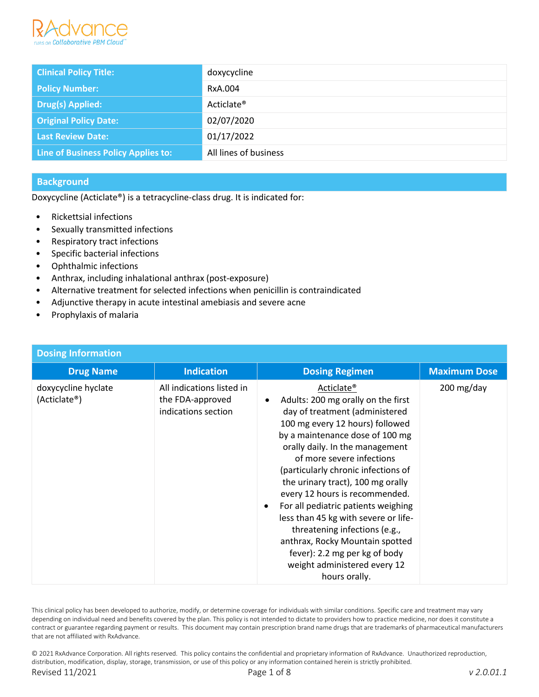

| <b>Clinical Policy Title:</b>       | doxycycline            |
|-------------------------------------|------------------------|
| <b>Policy Number:</b>               | RxA.004                |
| Drug(s) Applied:                    | Acticlate <sup>®</sup> |
| <b>Original Policy Date:</b>        | 02/07/2020             |
| <b>Last Review Date:</b>            | 01/17/2022             |
| Line of Business Policy Applies to: | All lines of business  |

# **Background**

Doxycycline (Acticlate®) is a tetracycline-class drug. It is indicated for:

- Rickettsial infections
- Sexually transmitted infections
- Respiratory tract infections
- Specific bacterial infections
- Ophthalmic infections
- Anthrax, including inhalational anthrax (post-exposure)
- Alternative treatment for selected infections when penicillin is contraindicated
- Adjunctive therapy in acute intestinal amebiasis and severe acne
- Prophylaxis of malaria

| <b>Dosing Information</b>           |                                                                      |                                                                                                                                                                                                                                                                                                                                                                                                                                                                                                                                                                                         |                     |
|-------------------------------------|----------------------------------------------------------------------|-----------------------------------------------------------------------------------------------------------------------------------------------------------------------------------------------------------------------------------------------------------------------------------------------------------------------------------------------------------------------------------------------------------------------------------------------------------------------------------------------------------------------------------------------------------------------------------------|---------------------|
| <b>Drug Name</b>                    | <b>Indication</b>                                                    | <b>Dosing Regimen</b>                                                                                                                                                                                                                                                                                                                                                                                                                                                                                                                                                                   | <b>Maximum Dose</b> |
| doxycycline hyclate<br>(Acticlate®) | All indications listed in<br>the FDA-approved<br>indications section | Acticlate <sup>®</sup><br>Adults: 200 mg orally on the first<br>day of treatment (administered<br>100 mg every 12 hours) followed<br>by a maintenance dose of 100 mg<br>orally daily. In the management<br>of more severe infections<br>(particularly chronic infections of<br>the urinary tract), 100 mg orally<br>every 12 hours is recommended.<br>For all pediatric patients weighing<br>less than 45 kg with severe or life-<br>threatening infections (e.g.,<br>anthrax, Rocky Mountain spotted<br>fever): 2.2 mg per kg of body<br>weight administered every 12<br>hours orally. | 200 mg/day          |

This clinical policy has been developed to authorize, modify, or determine coverage for individuals with similar conditions. Specific care and treatment may vary depending on individual need and benefits covered by the plan. This policy is not intended to dictate to providers how to practice medicine, nor does it constitute a contract or guarantee regarding payment or results. This document may contain prescription brand name drugs that are trademarks of pharmaceutical manufacturers that are not affiliated with RxAdvance.

© 2021 RxAdvance Corporation. All rights reserved. This policy contains the confidential and proprietary information of RxAdvance. Unauthorized reproduction, distribution, modification, display, storage, transmission, or use of this policy or any information contained herein is strictly prohibited. Revised 11/2021 Page 1 of 8 *v 2.0.01.1*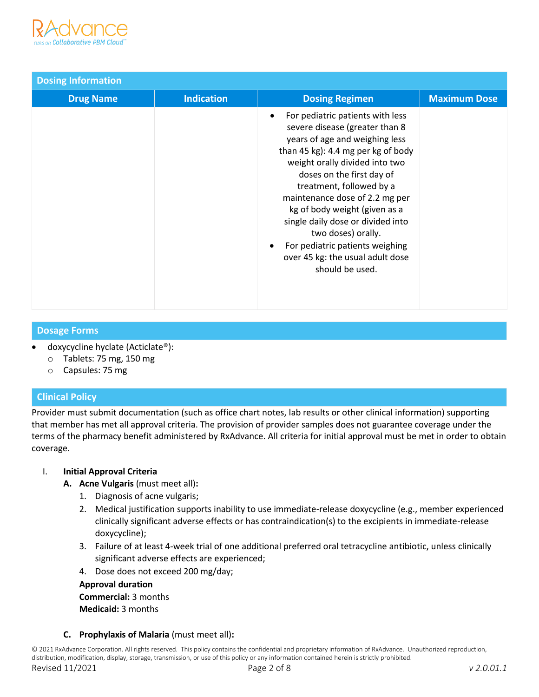

| <b>Dosing Information</b> |                   |                                                                                                                                                                                                                                                                                                                                                                                                                                                                            |                     |
|---------------------------|-------------------|----------------------------------------------------------------------------------------------------------------------------------------------------------------------------------------------------------------------------------------------------------------------------------------------------------------------------------------------------------------------------------------------------------------------------------------------------------------------------|---------------------|
| <b>Drug Name</b>          | <b>Indication</b> | <b>Dosing Regimen</b>                                                                                                                                                                                                                                                                                                                                                                                                                                                      | <b>Maximum Dose</b> |
|                           |                   | For pediatric patients with less<br>severe disease (greater than 8<br>years of age and weighing less<br>than 45 kg): 4.4 mg per kg of body<br>weight orally divided into two<br>doses on the first day of<br>treatment, followed by a<br>maintenance dose of 2.2 mg per<br>kg of body weight (given as a<br>single daily dose or divided into<br>two doses) orally.<br>For pediatric patients weighing<br>$\bullet$<br>over 45 kg: the usual adult dose<br>should be used. |                     |

### **Dosage Forms**

- doxycycline hyclate (Acticlate®):
	- o Tablets: 75 mg, 150 mg
	- o Capsules: 75 mg

### **Clinical Policy**

Provider must submit documentation (such as office chart notes, lab results or other clinical information) supporting that member has met all approval criteria. The provision of provider samples does not guarantee coverage under the terms of the pharmacy benefit administered by RxAdvance. All criteria for initial approval must be met in order to obtain coverage.

### I. **Initial Approval Criteria**

- **A. Acne Vulgaris** (must meet all)**:**
	- 1. Diagnosis of acne vulgaris;
	- 2. Medical justification supports inability to use immediate-release doxycycline (e.g., member experienced clinically significant adverse effects or has contraindication(s) to the excipients in immediate-release doxycycline);
	- 3. Failure of at least 4-week trial of one additional preferred oral tetracycline antibiotic, unless clinically significant adverse effects are experienced;
	- 4. Dose does not exceed 200 mg/day;

**Approval duration Commercial:** 3 months **Medicaid:** 3 months

### **C. Prophylaxis of Malaria** (must meet all)**:**

© 2021 RxAdvance Corporation. All rights reserved. This policy contains the confidential and proprietary information of RxAdvance. Unauthorized reproduction, distribution, modification, display, storage, transmission, or use of this policy or any information contained herein is strictly prohibited.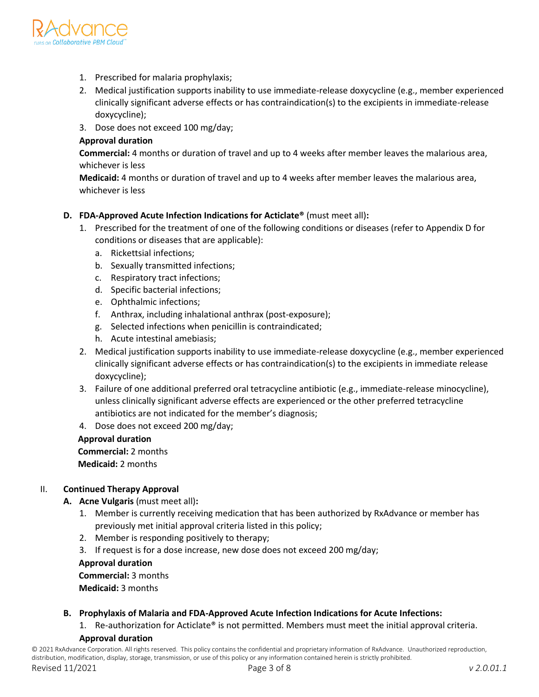

- 1. Prescribed for malaria prophylaxis;
- 2. Medical justification supports inability to use immediate-release doxycycline (e.g., member experienced clinically significant adverse effects or has contraindication(s) to the excipients in immediate-release doxycycline);
- 3. Dose does not exceed 100 mg/day;

### **Approval duration**

**Commercial:** 4 months or duration of travel and up to 4 weeks after member leaves the malarious area, whichever is less

**Medicaid:** 4 months or duration of travel and up to 4 weeks after member leaves the malarious area, whichever is less

## **D. FDA-Approved Acute Infection Indications for Acticlate®** (must meet all)**:**

- 1. Prescribed for the treatment of one of the following conditions or diseases (refer to Appendix D for conditions or diseases that are applicable):
	- a. Rickettsial infections;
	- b. Sexually transmitted infections;
	- c. Respiratory tract infections;
	- d. Specific bacterial infections;
	- e. Ophthalmic infections;
	- f. Anthrax, including inhalational anthrax (post-exposure);
	- g. Selected infections when penicillin is contraindicated;
	- h. Acute intestinal amebiasis;
- 2. Medical justification supports inability to use immediate-release doxycycline (e.g., member experienced clinically significant adverse effects or has contraindication(s) to the excipients in immediate release doxycycline);
- 3. Failure of one additional preferred oral tetracycline antibiotic (e.g., immediate-release minocycline), unless clinically significant adverse effects are experienced or the other preferred tetracycline antibiotics are not indicated for the member's diagnosis;
- 4. Dose does not exceed 200 mg/day;

### **Approval duration**

 **Commercial:** 2 months

 **Medicaid:** 2 months

### II. **Continued Therapy Approval**

- **A. Acne Vulgaris** (must meet all)**:**
	- 1. Member is currently receiving medication that has been authorized by RxAdvance or member has previously met initial approval criteria listed in this policy;
	- 2. Member is responding positively to therapy;
	- 3. If request is for a dose increase, new dose does not exceed 200 mg/day;

 **Approval duration**

 **Commercial:** 3 months

 **Medicaid:** 3 months

### **B. Prophylaxis of Malaria and FDA-Approved Acute Infection Indications for Acute Infections:**

1. Re-authorization for Acticlate® is not permitted. Members must meet the initial approval criteria.

### **Approval duration**

© 2021 RxAdvance Corporation. All rights reserved. This policy contains the confidential and proprietary information of RxAdvance. Unauthorized reproduction, distribution, modification, display, storage, transmission, or use of this policy or any information contained herein is strictly prohibited.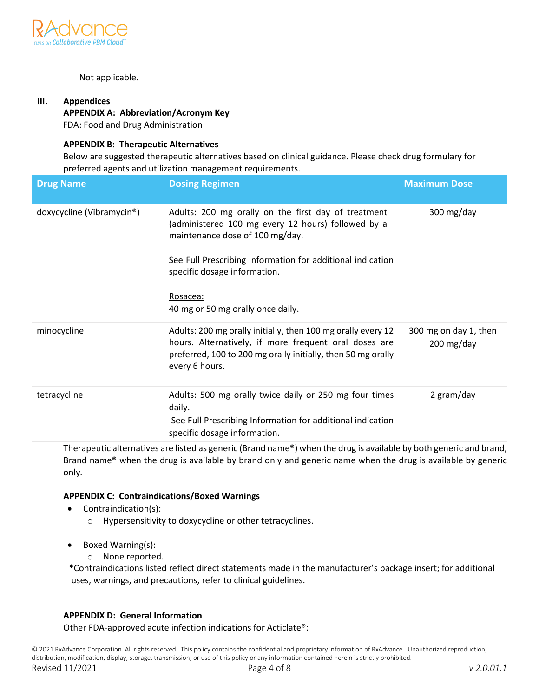

#### Not applicable.

## **III. Appendices**

**APPENDIX A: Abbreviation/Acronym Key** FDA: Food and Drug Administration

#### **APPENDIX B: Therapeutic Alternatives**

Below are suggested therapeutic alternatives based on clinical guidance. Please check drug formulary for preferred agents and utilization management requirements.

| <b>Drug Name</b>          | <b>Dosing Regimen</b>                                                                                                                                                                                                                                                                       | <b>Maximum Dose</b>                              |
|---------------------------|---------------------------------------------------------------------------------------------------------------------------------------------------------------------------------------------------------------------------------------------------------------------------------------------|--------------------------------------------------|
| doxycycline (Vibramycin®) | Adults: 200 mg orally on the first day of treatment<br>(administered 100 mg every 12 hours) followed by a<br>maintenance dose of 100 mg/day.<br>See Full Prescribing Information for additional indication<br>specific dosage information.<br>Rosacea:<br>40 mg or 50 mg orally once daily. | 300 mg/day                                       |
| minocycline               | Adults: 200 mg orally initially, then 100 mg orally every 12<br>hours. Alternatively, if more frequent oral doses are<br>preferred, 100 to 200 mg orally initially, then 50 mg orally<br>every 6 hours.                                                                                     | 300 mg on day 1, then<br>$200 \,\mathrm{mg/day}$ |
| tetracycline              | Adults: 500 mg orally twice daily or 250 mg four times<br>daily.<br>See Full Prescribing Information for additional indication<br>specific dosage information.                                                                                                                              | 2 gram/day                                       |

Therapeutic alternatives are listed as generic (Brand name®) when the drug is available by both generic and brand, Brand name® when the drug is available by brand only and generic name when the drug is available by generic only*.* 

### **APPENDIX C: Contraindications/Boxed Warnings**

- Contraindication(s):
	- o Hypersensitivity to doxycycline or other tetracyclines.
- Boxed Warning(s):
	- o None reported.

 \*Contraindications listed reflect direct statements made in the manufacturer's package insert; for additional uses, warnings, and precautions, refer to clinical guidelines.

#### **APPENDIX D: General Information**

Other FDA-approved acute infection indications for Acticlate®: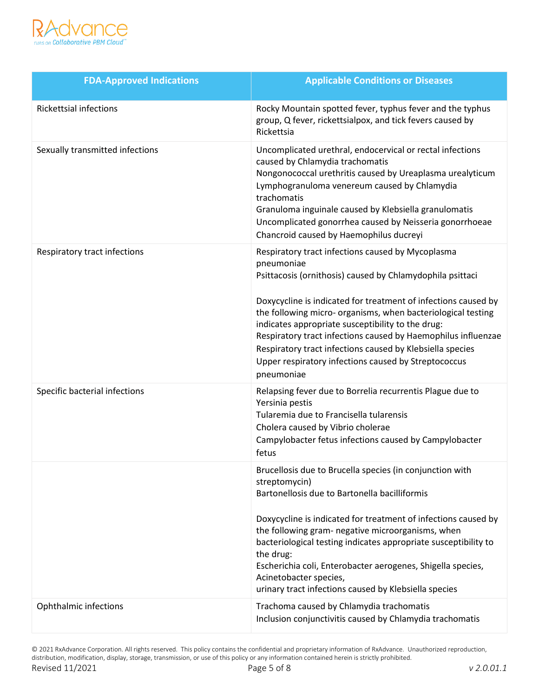

| <b>FDA-Approved Indications</b> | <b>Applicable Conditions or Diseases</b>                                                                                                                                                                                                                                                                                                                                                                                                                                                                                |  |
|---------------------------------|-------------------------------------------------------------------------------------------------------------------------------------------------------------------------------------------------------------------------------------------------------------------------------------------------------------------------------------------------------------------------------------------------------------------------------------------------------------------------------------------------------------------------|--|
| <b>Rickettsial infections</b>   | Rocky Mountain spotted fever, typhus fever and the typhus<br>group, Q fever, rickettsialpox, and tick fevers caused by<br>Rickettsia                                                                                                                                                                                                                                                                                                                                                                                    |  |
| Sexually transmitted infections | Uncomplicated urethral, endocervical or rectal infections<br>caused by Chlamydia trachomatis<br>Nongonococcal urethritis caused by Ureaplasma urealyticum<br>Lymphogranuloma venereum caused by Chlamydia<br>trachomatis<br>Granuloma inguinale caused by Klebsiella granulomatis<br>Uncomplicated gonorrhea caused by Neisseria gonorrhoeae<br>Chancroid caused by Haemophilus ducreyi                                                                                                                                 |  |
| Respiratory tract infections    | Respiratory tract infections caused by Mycoplasma<br>pneumoniae<br>Psittacosis (ornithosis) caused by Chlamydophila psittaci<br>Doxycycline is indicated for treatment of infections caused by<br>the following micro- organisms, when bacteriological testing<br>indicates appropriate susceptibility to the drug:<br>Respiratory tract infections caused by Haemophilus influenzae<br>Respiratory tract infections caused by Klebsiella species<br>Upper respiratory infections caused by Streptococcus<br>pneumoniae |  |
| Specific bacterial infections   | Relapsing fever due to Borrelia recurrentis Plague due to<br>Yersinia pestis<br>Tularemia due to Francisella tularensis<br>Cholera caused by Vibrio cholerae<br>Campylobacter fetus infections caused by Campylobacter<br>fetus                                                                                                                                                                                                                                                                                         |  |
|                                 | Brucellosis due to Brucella species (in conjunction with<br>streptomycin)<br>Bartonellosis due to Bartonella bacilliformis<br>Doxycycline is indicated for treatment of infections caused by<br>the following gram- negative microorganisms, when<br>bacteriological testing indicates appropriate susceptibility to<br>the drug:<br>Escherichia coli, Enterobacter aerogenes, Shigella species,<br>Acinetobacter species,<br>urinary tract infections caused by Klebsiella species                                     |  |
| <b>Ophthalmic infections</b>    | Trachoma caused by Chlamydia trachomatis<br>Inclusion conjunctivitis caused by Chlamydia trachomatis                                                                                                                                                                                                                                                                                                                                                                                                                    |  |

© 2021 RxAdvance Corporation. All rights reserved. This policy contains the confidential and proprietary information of RxAdvance. Unauthorized reproduction, distribution, modification, display, storage, transmission, or use of this policy or any information contained herein is strictly prohibited. Revised 11/2021 Page 5 of 8 *v 2.0.01.1*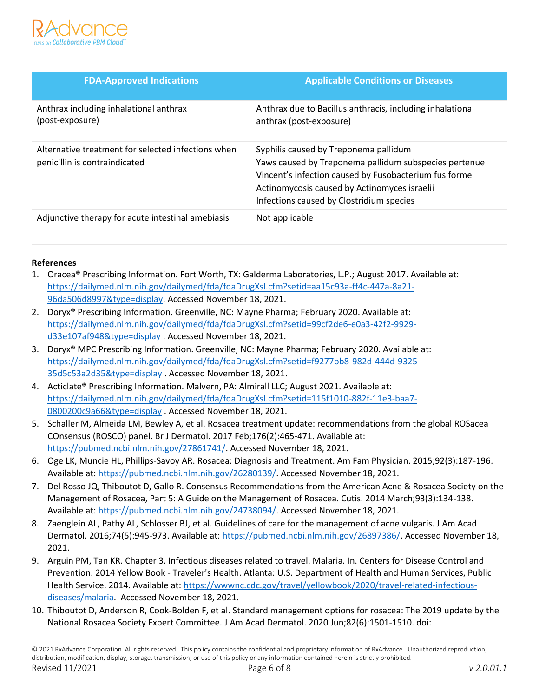

| <b>FDA-Approved Indications</b>                                                     | <b>Applicable Conditions or Diseases</b>                                                                                                                                                                                                            |
|-------------------------------------------------------------------------------------|-----------------------------------------------------------------------------------------------------------------------------------------------------------------------------------------------------------------------------------------------------|
| Anthrax including inhalational anthrax<br>(post-exposure)                           | Anthrax due to Bacillus anthracis, including inhalational<br>anthrax (post-exposure)                                                                                                                                                                |
| Alternative treatment for selected infections when<br>penicillin is contraindicated | Syphilis caused by Treponema pallidum<br>Yaws caused by Treponema pallidum subspecies pertenue<br>Vincent's infection caused by Fusobacterium fusiforme<br>Actinomycosis caused by Actinomyces israelii<br>Infections caused by Clostridium species |
| Adjunctive therapy for acute intestinal amebiasis                                   | Not applicable                                                                                                                                                                                                                                      |

### **References**

- 1. Oracea® Prescribing Information. Fort Worth, TX: Galderma Laboratories, L.P.; August 2017. Available at: [https://dailymed.nlm.nih.gov/dailymed/fda/fdaDrugXsl.cfm?setid=aa15c93a-ff4c-447a-8a21-](https://dailymed.nlm.nih.gov/dailymed/fda/fdaDrugXsl.cfm?setid=aa15c93a-ff4c-447a-8a21-96da506d8997&type=display) [96da506d8997&type=display.](https://dailymed.nlm.nih.gov/dailymed/fda/fdaDrugXsl.cfm?setid=aa15c93a-ff4c-447a-8a21-96da506d8997&type=display) Accessed November 18, 2021.
- 2. Doryx® Prescribing Information. Greenville, NC: Mayne Pharma; February 2020. Available at: [https://dailymed.nlm.nih.gov/dailymed/fda/fdaDrugXsl.cfm?setid=99cf2de6-e0a3-42f2-9929](https://dailymed.nlm.nih.gov/dailymed/fda/fdaDrugXsl.cfm?setid=99cf2de6-e0a3-42f2-9929-d33e107af948&type=display) [d33e107af948&type=display](https://dailymed.nlm.nih.gov/dailymed/fda/fdaDrugXsl.cfm?setid=99cf2de6-e0a3-42f2-9929-d33e107af948&type=display) [.](https://www.ncbi.nlm.nih.gov/pubmed) Accessed November 18, 2021.
- 3. Doryx® MPC Prescribing Information. Greenville, NC: Mayne Pharma; February 2020. Available at: [https://dailymed.nlm.nih.gov/dailymed/fda/fdaDrugXsl.cfm?setid=f9277bb8-982d-444d-9325-](https://dailymed.nlm.nih.gov/dailymed/fda/fdaDrugXsl.cfm?setid=f9277bb8-982d-444d-9325-35d5c53a2d35&type=display) [35d5c53a2d35&type=display](https://dailymed.nlm.nih.gov/dailymed/fda/fdaDrugXsl.cfm?setid=f9277bb8-982d-444d-9325-35d5c53a2d35&type=display) [.](http://www.oracea.com/) Accessed November 18, 2021.
- 4. Acticlate® Prescribing Information. Malvern, PA: Almirall LLC; August 2021. Available at: [https://dailymed.nlm.nih.gov/dailymed/fda/fdaDrugXsl.cfm?setid=115f1010-882f-11e3-baa7-](https://dailymed.nlm.nih.gov/dailymed/fda/fdaDrugXsl.cfm?setid=115f1010-882f-11e3-baa7-0800200c9a66&type=display) [0800200c9a66&type=display](https://dailymed.nlm.nih.gov/dailymed/fda/fdaDrugXsl.cfm?setid=115f1010-882f-11e3-baa7-0800200c9a66&type=display) [.](https://dailymed.nlm.nih.gov/dailymed/) Accessed November 18, 2021.
- 5. [Schaller M,](https://www.ncbi.nlm.nih.gov/pubmed/?term=Schaller%20M%5BAuthor%5D&cauthor=true&cauthor_uid=27861741) [Almeida LM,](https://dailymed.nlm.nih.gov/dailymed/?term=Almeida%20LM%5BAuthor%5D&cauthor=true&cauthor_uid=27861741) [Bewley A,](https://dailymed.nlm.nih.gov/dailymed/?term=Bewley%20A%5BAuthor%5D&cauthor=true&cauthor_uid=27861741) et al. Rosacea treatment update: recommendations from the global ROSacea COnsensus (ROSCO) panel[.](https://dailymed.nlm.nih.gov/dailymed/?term=27861741) [Br J Dermatol. 2](https://www.ncbi.nlm.nih.gov/pubmed/?term=27861741)017 Feb;176(2):465-471. Available at: [https://pubmed.ncbi.nlm.nih.gov/27861741/.](https://pubmed.ncbi.nlm.nih.gov/27861741/) Accessed November 18, 2021.
- 6. Oge LK, Muncie HL, Phillips-Savoy AR. Rosacea: Diagnosis and Treatment. Am Fam Physician. 2015;92(3):187-196. Available at[: https://pubmed.ncbi.nlm.nih.gov/26280139/.](https://pubmed.ncbi.nlm.nih.gov/26280139/) Accessed November 18, 2021.
- 7. Del Rosso JQ, Thiboutot D, Gallo R. Consensus Recommendations from the American Acne & Rosacea Society on the Management of Rosacea, Part 5: A Guide on the Management of Rosacea. Cutis. 2014 March;93(3):134-138. Available at[: https://pubmed.ncbi.nlm.nih.gov/24738094/.](https://pubmed.ncbi.nlm.nih.gov/24738094/) Accessed November 18, 2021.
- 8. Zaenglein AL, Pathy AL, Schlosser BJ, et al. Guidelines of care for the management of acne vulgaris. J Am Acad Dermatol. 2016;74(5):945-973. Available at[: https://pubmed.ncbi.nlm.nih.gov/26897386/.](https://pubmed.ncbi.nlm.nih.gov/26897386/) Accessed November 18, 2021.
- 9. Arguin PM, Tan KR. Chapter 3. Infectious diseases related to travel. Malaria. In. Centers for Disease Control and Prevention. 2014 Yellow Book - Traveler's Health. Atlanta: U.S. Department of Health and Human Services, Public Health Service. 2014. Available at[: https://wwwnc.cdc.gov/travel/yellowbook/2020/travel-related-infectious](https://wwwnc.cdc.gov/travel/yellowbook/2020/travel-related-infectious-diseases/malaria)[diseases/malaria.](https://wwwnc.cdc.gov/travel/yellowbook/2020/travel-related-infectious-diseases/malaria) Accessed November 18, 2021.
- 10. Thiboutot D, Anderson R, Cook-Bolden F, et al. Standard management options for rosacea: The 2019 update by the National Rosacea Society Expert Committee. J Am Acad Dermatol. 2020 Jun;82(6):1501-1510. doi: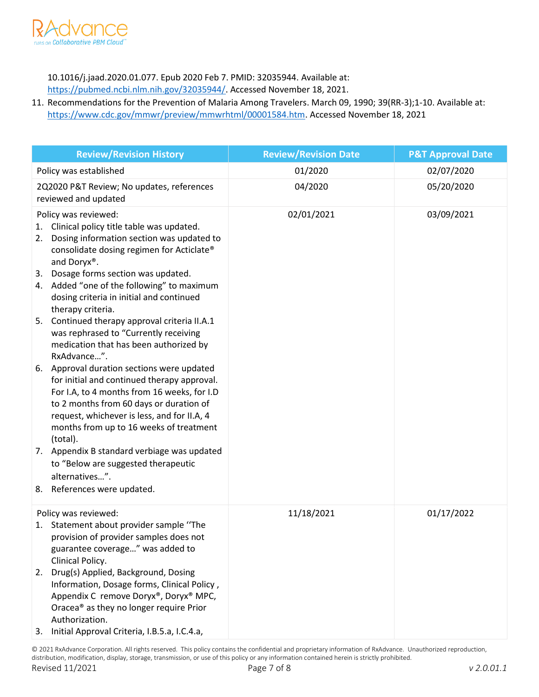

10.1016/j.jaad.2020.01.077. Epub 2020 Feb 7. PMID: 32035944. Available at:

[https://pubmed.ncbi.nlm.nih.gov/32035944/.](https://pubmed.ncbi.nlm.nih.gov/32035944/) Accessed November 18, 2021.

11. Recommendations for the Prevention of Malaria Among Travelers. March 09, 1990; 39(RR-3);1-10. Available at: [https://www.cdc.gov/mmwr/preview/mmwrhtml/00001584.htm.](https://www.cdc.gov/mmwr/preview/mmwrhtml/00001584.htm) Accessed November 18, 2021

| <b>Review/Revision History</b>                                                                                                                                                                                                                                                                                                                  | <b>Review/Revision Date</b> | <b>P&amp;T Approval Date</b> |
|-------------------------------------------------------------------------------------------------------------------------------------------------------------------------------------------------------------------------------------------------------------------------------------------------------------------------------------------------|-----------------------------|------------------------------|
| Policy was established                                                                                                                                                                                                                                                                                                                          | 01/2020                     | 02/07/2020                   |
| 2Q2020 P&T Review; No updates, references<br>reviewed and updated                                                                                                                                                                                                                                                                               | 04/2020                     | 05/20/2020                   |
| Policy was reviewed:<br>Clinical policy title table was updated.<br>1.<br>Dosing information section was updated to<br>2.<br>consolidate dosing regimen for Acticlate®<br>and Doryx®.<br>Dosage forms section was updated.<br>3.<br>4. Added "one of the following" to maximum<br>dosing criteria in initial and continued<br>therapy criteria. | 02/01/2021                  | 03/09/2021                   |
| Continued therapy approval criteria II.A.1<br>5.<br>was rephrased to "Currently receiving<br>medication that has been authorized by<br>RxAdvance".                                                                                                                                                                                              |                             |                              |
| Approval duration sections were updated<br>6.<br>for initial and continued therapy approval.<br>For I.A, to 4 months from 16 weeks, for I.D<br>to 2 months from 60 days or duration of<br>request, whichever is less, and for II.A, 4<br>months from up to 16 weeks of treatment<br>(total).                                                    |                             |                              |
| 7. Appendix B standard verbiage was updated<br>to "Below are suggested therapeutic<br>alternatives".                                                                                                                                                                                                                                            |                             |                              |
| References were updated.<br>8.                                                                                                                                                                                                                                                                                                                  |                             |                              |
| Policy was reviewed:<br>1. Statement about provider sample "The<br>provision of provider samples does not<br>guarantee coverage" was added to                                                                                                                                                                                                   | 11/18/2021                  | 01/17/2022                   |
| Clinical Policy.<br>Drug(s) Applied, Background, Dosing<br>2.<br>Information, Dosage forms, Clinical Policy,<br>Appendix C remove Doryx®, Doryx® MPC,<br>Oracea <sup>®</sup> as they no longer require Prior<br>Authorization.<br>Initial Approval Criteria, I.B.5.a, I.C.4.a,<br>3.                                                            |                             |                              |

© 2021 RxAdvance Corporation. All rights reserved. This policy contains the confidential and proprietary information of RxAdvance. Unauthorized reproduction, distribution, modification, display, storage, transmission, or use of this policy or any information contained herein is strictly prohibited. Revised 11/2021 Page 7 of 8 *v 2.0.01.1*